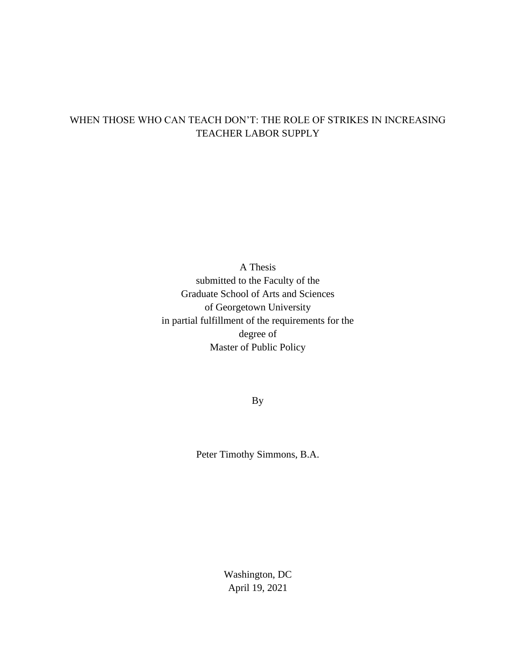# WHEN THOSE WHO CAN TEACH DON'T: THE ROLE OF STRIKES IN INCREASING TEACHER LABOR SUPPLY

A Thesis submitted to the Faculty of the Graduate School of Arts and Sciences of Georgetown University in partial fulfillment of the requirements for the degree of Master of Public Policy

By

Peter Timothy Simmons, B.A.

Washington, DC April 19, 2021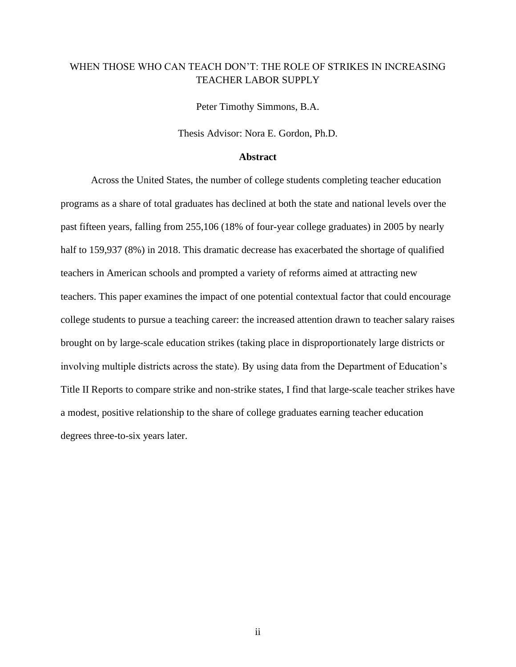# WHEN THOSE WHO CAN TEACH DON'T: THE ROLE OF STRIKES IN INCREASING TEACHER LABOR SUPPLY

Peter Timothy Simmons, B.A.

Thesis Advisor: Nora E. Gordon, Ph.D.

# **Abstract**

Across the United States, the number of college students completing teacher education programs as a share of total graduates has declined at both the state and national levels over the past fifteen years, falling from 255,106 (18% of four-year college graduates) in 2005 by nearly half to 159,937 (8%) in 2018. This dramatic decrease has exacerbated the shortage of qualified teachers in American schools and prompted a variety of reforms aimed at attracting new teachers. This paper examines the impact of one potential contextual factor that could encourage college students to pursue a teaching career: the increased attention drawn to teacher salary raises brought on by large-scale education strikes (taking place in disproportionately large districts or involving multiple districts across the state). By using data from the Department of Education's Title II Reports to compare strike and non-strike states, I find that large-scale teacher strikes have a modest, positive relationship to the share of college graduates earning teacher education degrees three-to-six years later.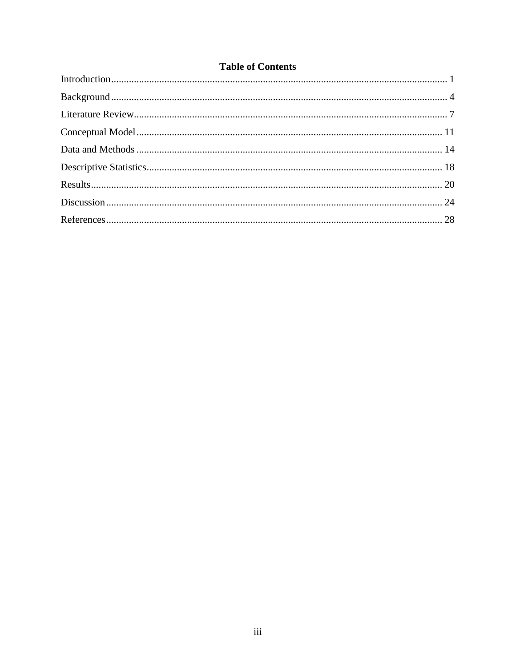# **Table of Contents**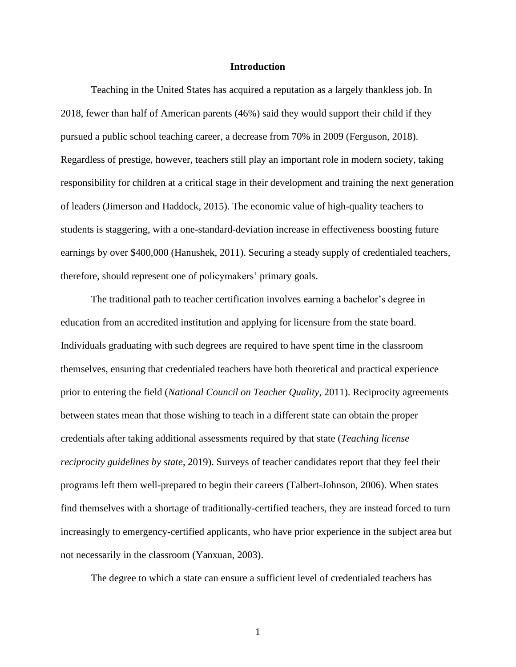## **Introduction**

<span id="page-3-0"></span>Teaching in the United States has acquired a reputation as a largely thankless job. In 2018, fewer than half of American parents (46%) said they would support their child if they pursued a public school teaching career, a decrease from 70% in 2009 (Ferguson, 2018). Regardless of prestige, however, teachers still play an important role in modern society, taking responsibility for children at a critical stage in their development and training the next generation of leaders (Jimerson and Haddock, 2015). The economic value of high-quality teachers to students is staggering, with a one-standard-deviation increase in effectiveness boosting future earnings by over \$400,000 (Hanushek, 2011). Securing a steady supply of credentialed teachers, therefore, should represent one of policymakers' primary goals.

The traditional path to teacher certification involves earning a bachelor's degree in education from an accredited institution and applying for licensure from the state board. Individuals graduating with such degrees are required to have spent time in the classroom themselves, ensuring that credentialed teachers have both theoretical and practical experience prior to entering the field (*National Council on Teacher Quality*, 2011). Reciprocity agreements between states mean that those wishing to teach in a different state can obtain the proper credentials after taking additional assessments required by that state (*Teaching license reciprocity guidelines by state*, 2019). Surveys of teacher candidates report that they feel their programs left them well-prepared to begin their careers (Talbert-Johnson, 2006). When states find themselves with a shortage of traditionally-certified teachers, they are instead forced to turn increasingly to emergency-certified applicants, who have prior experience in the subject area but not necessarily in the classroom (Yanxuan, 2003).

The degree to which a state can ensure a sufficient level of credentialed teachers has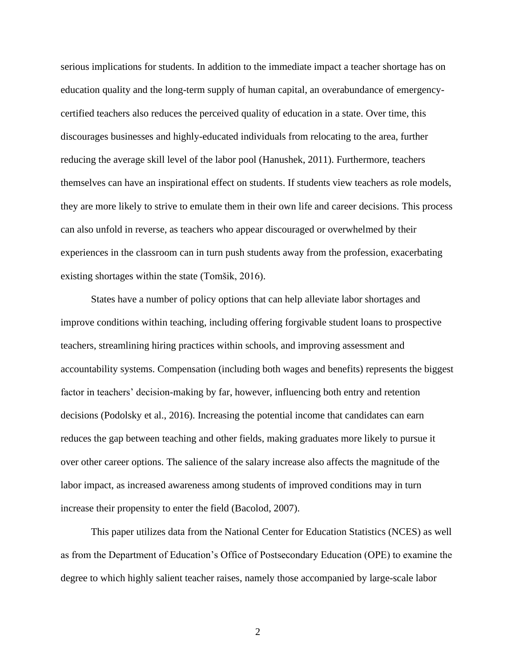serious implications for students. In addition to the immediate impact a teacher shortage has on education quality and the long-term supply of human capital, an overabundance of emergencycertified teachers also reduces the perceived quality of education in a state. Over time, this discourages businesses and highly-educated individuals from relocating to the area, further reducing the average skill level of the labor pool (Hanushek, 2011). Furthermore, teachers themselves can have an inspirational effect on students. If students view teachers as role models, they are more likely to strive to emulate them in their own life and career decisions. This process can also unfold in reverse, as teachers who appear discouraged or overwhelmed by their experiences in the classroom can in turn push students away from the profession, exacerbating existing shortages within the state (Tomšik, 2016).

States have a number of policy options that can help alleviate labor shortages and improve conditions within teaching, including offering forgivable student loans to prospective teachers, streamlining hiring practices within schools, and improving assessment and accountability systems. Compensation (including both wages and benefits) represents the biggest factor in teachers' decision-making by far, however, influencing both entry and retention decisions (Podolsky et al., 2016). Increasing the potential income that candidates can earn reduces the gap between teaching and other fields, making graduates more likely to pursue it over other career options. The salience of the salary increase also affects the magnitude of the labor impact, as increased awareness among students of improved conditions may in turn increase their propensity to enter the field (Bacolod, 2007).

This paper utilizes data from the National Center for Education Statistics (NCES) as well as from the Department of Education's Office of Postsecondary Education (OPE) to examine the degree to which highly salient teacher raises, namely those accompanied by large-scale labor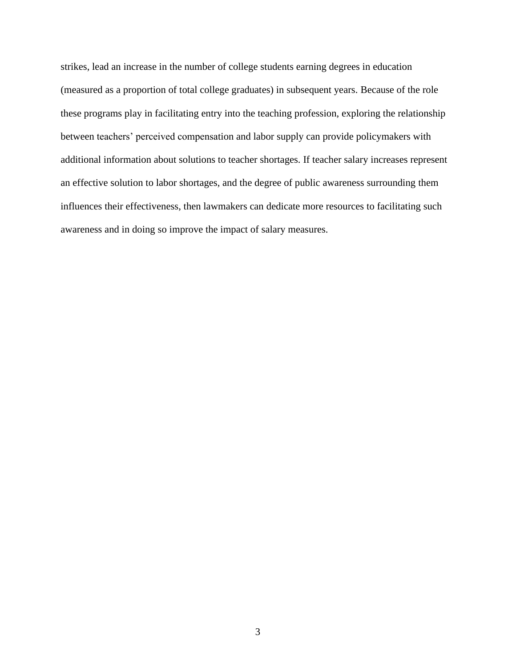strikes, lead an increase in the number of college students earning degrees in education (measured as a proportion of total college graduates) in subsequent years. Because of the role these programs play in facilitating entry into the teaching profession, exploring the relationship between teachers' perceived compensation and labor supply can provide policymakers with additional information about solutions to teacher shortages. If teacher salary increases represent an effective solution to labor shortages, and the degree of public awareness surrounding them influences their effectiveness, then lawmakers can dedicate more resources to facilitating such awareness and in doing so improve the impact of salary measures.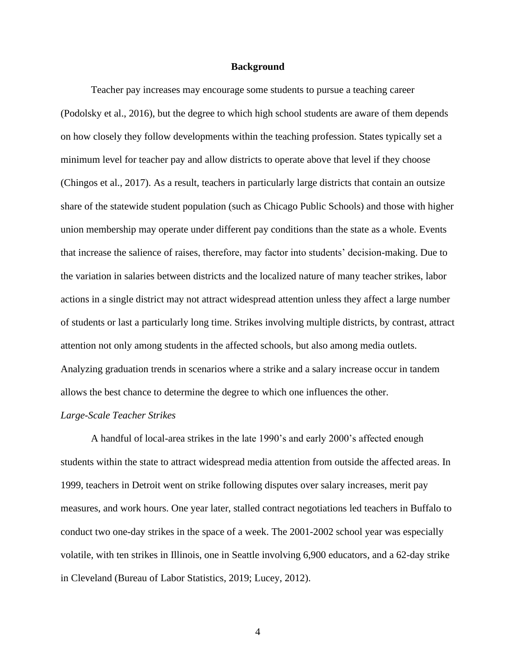## **Background**

<span id="page-6-0"></span>Teacher pay increases may encourage some students to pursue a teaching career (Podolsky et al., 2016), but the degree to which high school students are aware of them depends on how closely they follow developments within the teaching profession. States typically set a minimum level for teacher pay and allow districts to operate above that level if they choose (Chingos et al., 2017). As a result, teachers in particularly large districts that contain an outsize share of the statewide student population (such as Chicago Public Schools) and those with higher union membership may operate under different pay conditions than the state as a whole. Events that increase the salience of raises, therefore, may factor into students' decision-making. Due to the variation in salaries between districts and the localized nature of many teacher strikes, labor actions in a single district may not attract widespread attention unless they affect a large number of students or last a particularly long time. Strikes involving multiple districts, by contrast, attract attention not only among students in the affected schools, but also among media outlets. Analyzing graduation trends in scenarios where a strike and a salary increase occur in tandem allows the best chance to determine the degree to which one influences the other.

#### *Large-Scale Teacher Strikes*

A handful of local-area strikes in the late 1990's and early 2000's affected enough students within the state to attract widespread media attention from outside the affected areas. In 1999, teachers in Detroit went on strike following disputes over salary increases, merit pay measures, and work hours. One year later, stalled contract negotiations led teachers in Buffalo to conduct two one-day strikes in the space of a week. The 2001-2002 school year was especially volatile, with ten strikes in Illinois, one in Seattle involving 6,900 educators, and a 62-day strike in Cleveland (Bureau of Labor Statistics, 2019; Lucey, 2012).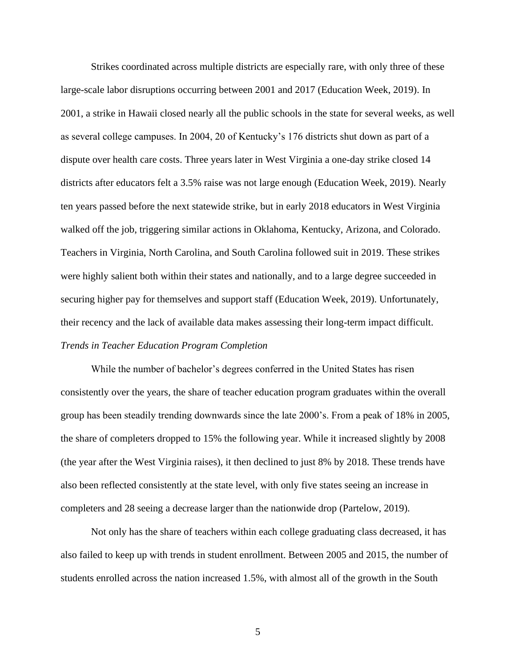Strikes coordinated across multiple districts are especially rare, with only three of these large-scale labor disruptions occurring between 2001 and 2017 (Education Week, 2019). In 2001, a strike in Hawaii closed nearly all the public schools in the state for several weeks, as well as several college campuses. In 2004, 20 of Kentucky's 176 districts shut down as part of a dispute over health care costs. Three years later in West Virginia a one-day strike closed 14 districts after educators felt a 3.5% raise was not large enough (Education Week, 2019). Nearly ten years passed before the next statewide strike, but in early 2018 educators in West Virginia walked off the job, triggering similar actions in Oklahoma, Kentucky, Arizona, and Colorado. Teachers in Virginia, North Carolina, and South Carolina followed suit in 2019. These strikes were highly salient both within their states and nationally, and to a large degree succeeded in securing higher pay for themselves and support staff (Education Week, 2019). Unfortunately, their recency and the lack of available data makes assessing their long-term impact difficult. *Trends in Teacher Education Program Completion*

While the number of bachelor's degrees conferred in the United States has risen consistently over the years, the share of teacher education program graduates within the overall group has been steadily trending downwards since the late 2000's. From a peak of 18% in 2005, the share of completers dropped to 15% the following year. While it increased slightly by 2008 (the year after the West Virginia raises), it then declined to just 8% by 2018. These trends have also been reflected consistently at the state level, with only five states seeing an increase in completers and 28 seeing a decrease larger than the nationwide drop (Partelow, 2019).

Not only has the share of teachers within each college graduating class decreased, it has also failed to keep up with trends in student enrollment. Between 2005 and 2015, the number of students enrolled across the nation increased 1.5%, with almost all of the growth in the South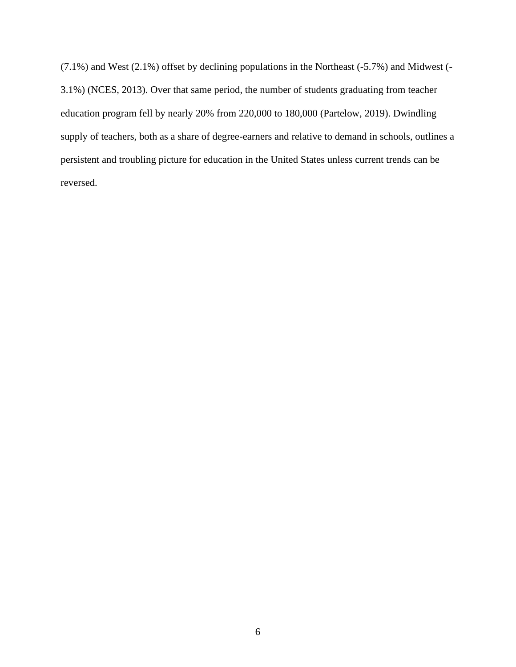(7.1%) and West (2.1%) offset by declining populations in the Northeast (-5.7%) and Midwest (- 3.1%) (NCES, 2013). Over that same period, the number of students graduating from teacher education program fell by nearly 20% from 220,000 to 180,000 (Partelow, 2019). Dwindling supply of teachers, both as a share of degree-earners and relative to demand in schools, outlines a persistent and troubling picture for education in the United States unless current trends can be reversed.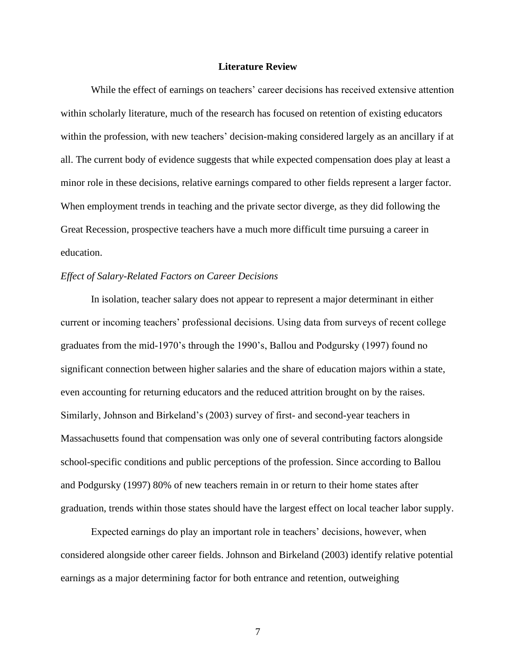# **Literature Review**

<span id="page-9-0"></span>While the effect of earnings on teachers' career decisions has received extensive attention within scholarly literature, much of the research has focused on retention of existing educators within the profession, with new teachers' decision-making considered largely as an ancillary if at all. The current body of evidence suggests that while expected compensation does play at least a minor role in these decisions, relative earnings compared to other fields represent a larger factor. When employment trends in teaching and the private sector diverge, as they did following the Great Recession, prospective teachers have a much more difficult time pursuing a career in education.

# *Effect of Salary-Related Factors on Career Decisions*

In isolation, teacher salary does not appear to represent a major determinant in either current or incoming teachers' professional decisions. Using data from surveys of recent college graduates from the mid-1970's through the 1990's, Ballou and Podgursky (1997) found no significant connection between higher salaries and the share of education majors within a state, even accounting for returning educators and the reduced attrition brought on by the raises. Similarly, Johnson and Birkeland's (2003) survey of first- and second-year teachers in Massachusetts found that compensation was only one of several contributing factors alongside school-specific conditions and public perceptions of the profession. Since according to Ballou and Podgursky (1997) 80% of new teachers remain in or return to their home states after graduation, trends within those states should have the largest effect on local teacher labor supply.

Expected earnings do play an important role in teachers' decisions, however, when considered alongside other career fields. Johnson and Birkeland (2003) identify relative potential earnings as a major determining factor for both entrance and retention, outweighing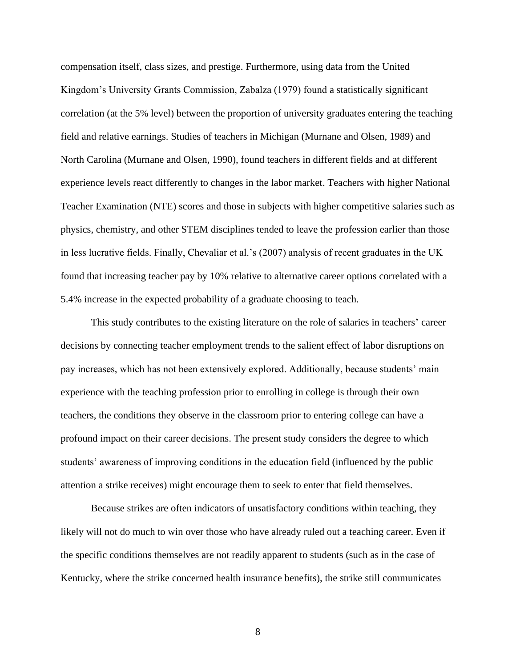compensation itself, class sizes, and prestige. Furthermore, using data from the United Kingdom's University Grants Commission, Zabalza (1979) found a statistically significant correlation (at the 5% level) between the proportion of university graduates entering the teaching field and relative earnings. Studies of teachers in Michigan (Murnane and Olsen, 1989) and North Carolina (Murnane and Olsen, 1990), found teachers in different fields and at different experience levels react differently to changes in the labor market. Teachers with higher National Teacher Examination (NTE) scores and those in subjects with higher competitive salaries such as physics, chemistry, and other STEM disciplines tended to leave the profession earlier than those in less lucrative fields. Finally, Chevaliar et al.'s (2007) analysis of recent graduates in the UK found that increasing teacher pay by 10% relative to alternative career options correlated with a 5.4% increase in the expected probability of a graduate choosing to teach.

This study contributes to the existing literature on the role of salaries in teachers' career decisions by connecting teacher employment trends to the salient effect of labor disruptions on pay increases, which has not been extensively explored. Additionally, because students' main experience with the teaching profession prior to enrolling in college is through their own teachers, the conditions they observe in the classroom prior to entering college can have a profound impact on their career decisions. The present study considers the degree to which students' awareness of improving conditions in the education field (influenced by the public attention a strike receives) might encourage them to seek to enter that field themselves.

Because strikes are often indicators of unsatisfactory conditions within teaching, they likely will not do much to win over those who have already ruled out a teaching career. Even if the specific conditions themselves are not readily apparent to students (such as in the case of Kentucky, where the strike concerned health insurance benefits), the strike still communicates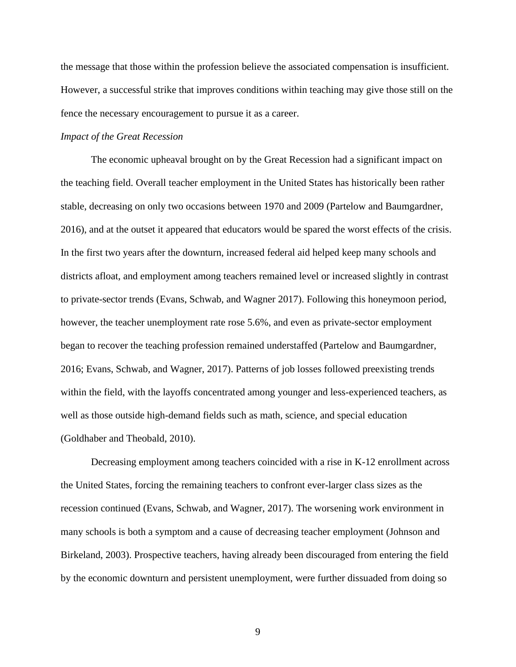the message that those within the profession believe the associated compensation is insufficient. However, a successful strike that improves conditions within teaching may give those still on the fence the necessary encouragement to pursue it as a career.

# *Impact of the Great Recession*

The economic upheaval brought on by the Great Recession had a significant impact on the teaching field. Overall teacher employment in the United States has historically been rather stable, decreasing on only two occasions between 1970 and 2009 (Partelow and Baumgardner, 2016), and at the outset it appeared that educators would be spared the worst effects of the crisis. In the first two years after the downturn, increased federal aid helped keep many schools and districts afloat, and employment among teachers remained level or increased slightly in contrast to private-sector trends (Evans, Schwab, and Wagner 2017). Following this honeymoon period, however, the teacher unemployment rate rose 5.6%, and even as private-sector employment began to recover the teaching profession remained understaffed (Partelow and Baumgardner, 2016; Evans, Schwab, and Wagner, 2017). Patterns of job losses followed preexisting trends within the field, with the layoffs concentrated among younger and less-experienced teachers, as well as those outside high-demand fields such as math, science, and special education (Goldhaber and Theobald, 2010).

Decreasing employment among teachers coincided with a rise in K-12 enrollment across the United States, forcing the remaining teachers to confront ever-larger class sizes as the recession continued (Evans, Schwab, and Wagner, 2017). The worsening work environment in many schools is both a symptom and a cause of decreasing teacher employment (Johnson and Birkeland, 2003). Prospective teachers, having already been discouraged from entering the field by the economic downturn and persistent unemployment, were further dissuaded from doing so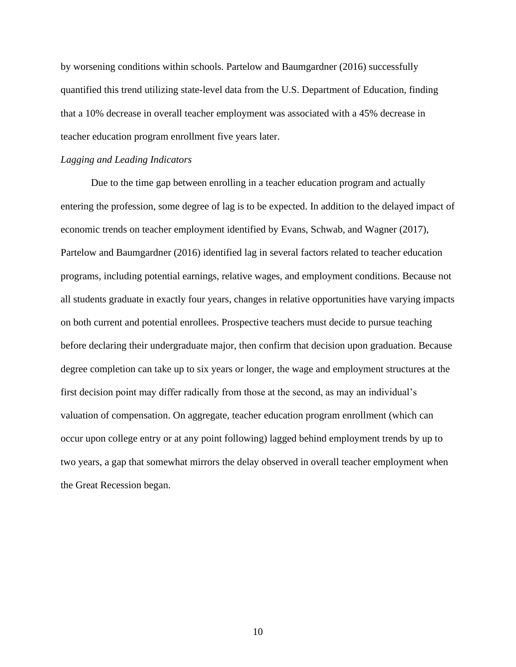by worsening conditions within schools. Partelow and Baumgardner (2016) successfully quantified this trend utilizing state-level data from the U.S. Department of Education, finding that a 10% decrease in overall teacher employment was associated with a 45% decrease in teacher education program enrollment five years later.

#### *Lagging and Leading Indicators*

Due to the time gap between enrolling in a teacher education program and actually entering the profession, some degree of lag is to be expected. In addition to the delayed impact of economic trends on teacher employment identified by Evans, Schwab, and Wagner (2017), Partelow and Baumgardner (2016) identified lag in several factors related to teacher education programs, including potential earnings, relative wages, and employment conditions. Because not all students graduate in exactly four years, changes in relative opportunities have varying impacts on both current and potential enrollees. Prospective teachers must decide to pursue teaching before declaring their undergraduate major, then confirm that decision upon graduation. Because degree completion can take up to six years or longer, the wage and employment structures at the first decision point may differ radically from those at the second, as may an individual's valuation of compensation. On aggregate, teacher education program enrollment (which can occur upon college entry or at any point following) lagged behind employment trends by up to two years, a gap that somewhat mirrors the delay observed in overall teacher employment when the Great Recession began.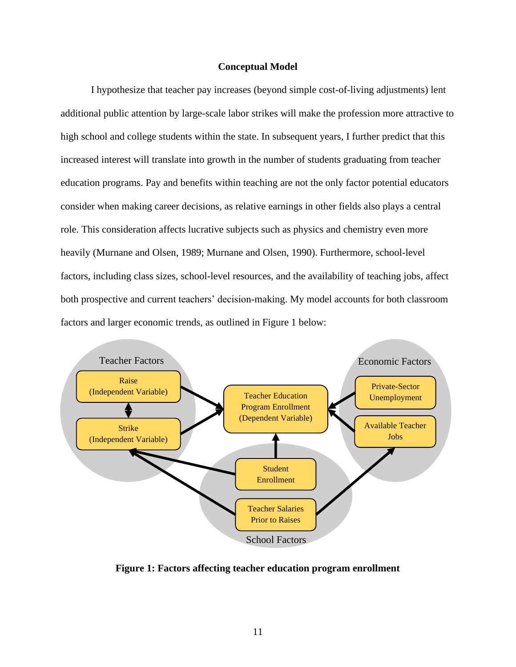# **Conceptual Model**

<span id="page-13-0"></span>I hypothesize that teacher pay increases (beyond simple cost-of-living adjustments) lent additional public attention by large-scale labor strikes will make the profession more attractive to high school and college students within the state. In subsequent years, I further predict that this increased interest will translate into growth in the number of students graduating from teacher education programs. Pay and benefits within teaching are not the only factor potential educators consider when making career decisions, as relative earnings in other fields also plays a central role. This consideration affects lucrative subjects such as physics and chemistry even more heavily (Murnane and Olsen, 1989; Murnane and Olsen, 1990). Furthermore, school-level factors, including class sizes, school-level resources, and the availability of teaching jobs, affect both prospective and current teachers' decision-making. My model accounts for both classroom factors and larger economic trends, as outlined in Figure 1 below:



**Figure 1: Factors affecting teacher education program enrollment**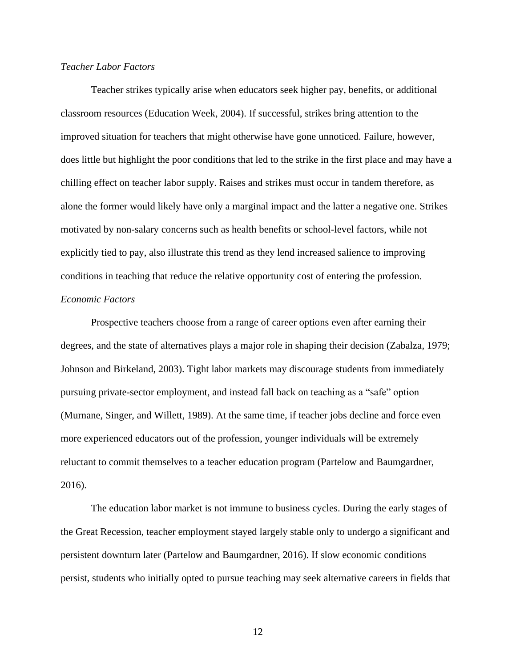# *Teacher Labor Factors*

Teacher strikes typically arise when educators seek higher pay, benefits, or additional classroom resources (Education Week, 2004). If successful, strikes bring attention to the improved situation for teachers that might otherwise have gone unnoticed. Failure, however, does little but highlight the poor conditions that led to the strike in the first place and may have a chilling effect on teacher labor supply. Raises and strikes must occur in tandem therefore, as alone the former would likely have only a marginal impact and the latter a negative one. Strikes motivated by non-salary concerns such as health benefits or school-level factors, while not explicitly tied to pay, also illustrate this trend as they lend increased salience to improving conditions in teaching that reduce the relative opportunity cost of entering the profession. *Economic Factors*

Prospective teachers choose from a range of career options even after earning their degrees, and the state of alternatives plays a major role in shaping their decision (Zabalza, 1979; Johnson and Birkeland, 2003). Tight labor markets may discourage students from immediately pursuing private-sector employment, and instead fall back on teaching as a "safe" option (Murnane, Singer, and Willett, 1989). At the same time, if teacher jobs decline and force even more experienced educators out of the profession, younger individuals will be extremely reluctant to commit themselves to a teacher education program (Partelow and Baumgardner, 2016).

The education labor market is not immune to business cycles. During the early stages of the Great Recession, teacher employment stayed largely stable only to undergo a significant and persistent downturn later (Partelow and Baumgardner, 2016). If slow economic conditions persist, students who initially opted to pursue teaching may seek alternative careers in fields that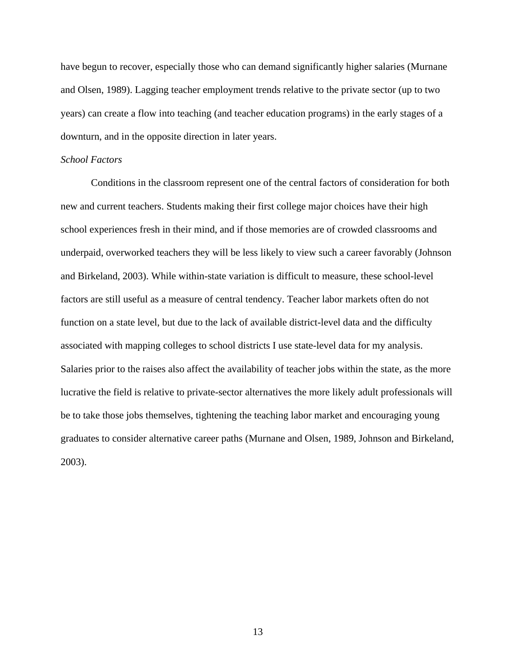have begun to recover, especially those who can demand significantly higher salaries (Murnane and Olsen, 1989). Lagging teacher employment trends relative to the private sector (up to two years) can create a flow into teaching (and teacher education programs) in the early stages of a downturn, and in the opposite direction in later years.

# *School Factors*

Conditions in the classroom represent one of the central factors of consideration for both new and current teachers. Students making their first college major choices have their high school experiences fresh in their mind, and if those memories are of crowded classrooms and underpaid, overworked teachers they will be less likely to view such a career favorably (Johnson and Birkeland, 2003). While within-state variation is difficult to measure, these school-level factors are still useful as a measure of central tendency. Teacher labor markets often do not function on a state level, but due to the lack of available district-level data and the difficulty associated with mapping colleges to school districts I use state-level data for my analysis. Salaries prior to the raises also affect the availability of teacher jobs within the state, as the more lucrative the field is relative to private-sector alternatives the more likely adult professionals will be to take those jobs themselves, tightening the teaching labor market and encouraging young graduates to consider alternative career paths (Murnane and Olsen, 1989, Johnson and Birkeland, 2003).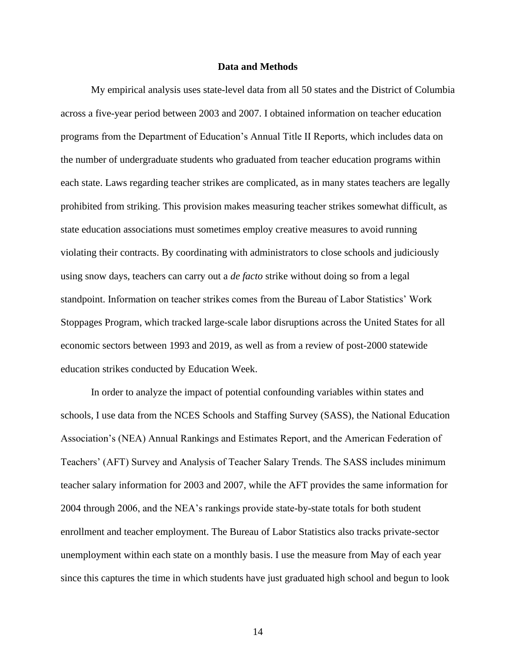# **Data and Methods**

<span id="page-16-0"></span>My empirical analysis uses state-level data from all 50 states and the District of Columbia across a five-year period between 2003 and 2007. I obtained information on teacher education programs from the Department of Education's Annual Title II Reports, which includes data on the number of undergraduate students who graduated from teacher education programs within each state. Laws regarding teacher strikes are complicated, as in many states teachers are legally prohibited from striking. This provision makes measuring teacher strikes somewhat difficult, as state education associations must sometimes employ creative measures to avoid running violating their contracts. By coordinating with administrators to close schools and judiciously using snow days, teachers can carry out a *de facto* strike without doing so from a legal standpoint. Information on teacher strikes comes from the Bureau of Labor Statistics' Work Stoppages Program, which tracked large-scale labor disruptions across the United States for all economic sectors between 1993 and 2019, as well as from a review of post-2000 statewide education strikes conducted by Education Week.

In order to analyze the impact of potential confounding variables within states and schools, I use data from the NCES Schools and Staffing Survey (SASS), the National Education Association's (NEA) Annual Rankings and Estimates Report, and the American Federation of Teachers' (AFT) Survey and Analysis of Teacher Salary Trends. The SASS includes minimum teacher salary information for 2003 and 2007, while the AFT provides the same information for 2004 through 2006, and the NEA's rankings provide state-by-state totals for both student enrollment and teacher employment. The Bureau of Labor Statistics also tracks private-sector unemployment within each state on a monthly basis. I use the measure from May of each year since this captures the time in which students have just graduated high school and begun to look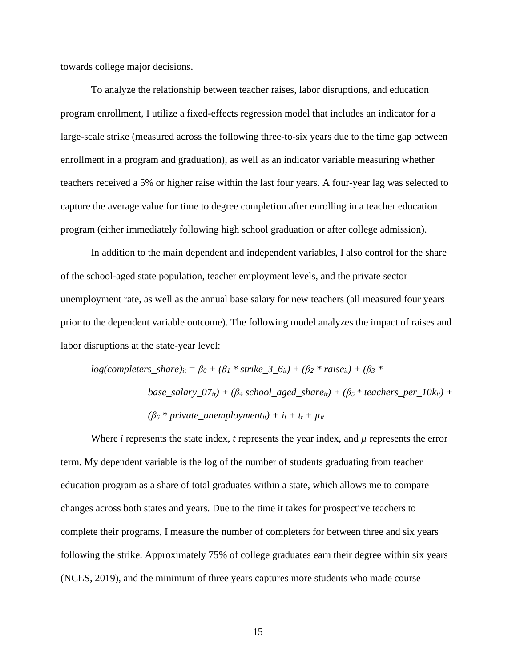towards college major decisions.

To analyze the relationship between teacher raises, labor disruptions, and education program enrollment, I utilize a fixed-effects regression model that includes an indicator for a large-scale strike (measured across the following three-to-six years due to the time gap between enrollment in a program and graduation), as well as an indicator variable measuring whether teachers received a 5% or higher raise within the last four years. A four-year lag was selected to capture the average value for time to degree completion after enrolling in a teacher education program (either immediately following high school graduation or after college admission).

In addition to the main dependent and independent variables, I also control for the share of the school-aged state population, teacher employment levels, and the private sector unemployment rate, as well as the annual base salary for new teachers (all measured four years prior to the dependent variable outcome). The following model analyzes the impact of raises and labor disruptions at the state-year level:

$$
log(completers\_share)_{it} = \beta_0 + (\beta_1 * strike\_3\_6_{it}) + (\beta_2 * raise_{it}) + (\beta_3 * base\_salary\_07_{it}) + (\beta_4 \text{ school\_aged\_share}_{it}) + (\beta_5 * teaches\_per\_10k_{it}) + (\beta_6 * private\_unemployment_{it}) + i_i + t_t + \mu_{it}
$$

Where  $i$  represents the state index,  $t$  represents the year index, and  $\mu$  represents the error term. My dependent variable is the log of the number of students graduating from teacher education program as a share of total graduates within a state, which allows me to compare changes across both states and years. Due to the time it takes for prospective teachers to complete their programs, I measure the number of completers for between three and six years following the strike. Approximately 75% of college graduates earn their degree within six years (NCES, 2019), and the minimum of three years captures more students who made course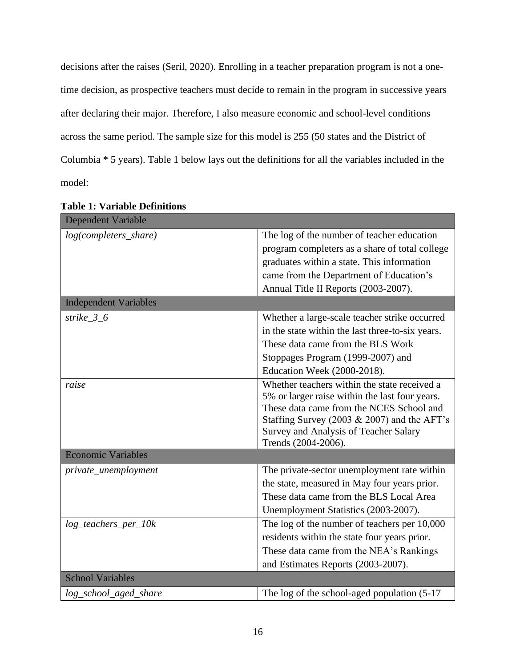decisions after the raises (Seril, 2020). Enrolling in a teacher preparation program is not a onetime decision, as prospective teachers must decide to remain in the program in successive years after declaring their major. Therefore, I also measure economic and school-level conditions across the same period. The sample size for this model is 255 (50 states and the District of Columbia \* 5 years). Table 1 below lays out the definitions for all the variables included in the model:

| <b>Dependent Variable</b>    |                                                                                                                                                                                                                                                           |  |  |  |
|------------------------------|-----------------------------------------------------------------------------------------------------------------------------------------------------------------------------------------------------------------------------------------------------------|--|--|--|
| log(completers_share)        | The log of the number of teacher education                                                                                                                                                                                                                |  |  |  |
|                              | program completers as a share of total college                                                                                                                                                                                                            |  |  |  |
|                              | graduates within a state. This information                                                                                                                                                                                                                |  |  |  |
|                              | came from the Department of Education's                                                                                                                                                                                                                   |  |  |  |
|                              | Annual Title II Reports (2003-2007).                                                                                                                                                                                                                      |  |  |  |
| <b>Independent Variables</b> |                                                                                                                                                                                                                                                           |  |  |  |
| strike_ $3_6$                | Whether a large-scale teacher strike occurred                                                                                                                                                                                                             |  |  |  |
|                              | in the state within the last three-to-six years.                                                                                                                                                                                                          |  |  |  |
|                              | These data came from the BLS Work                                                                                                                                                                                                                         |  |  |  |
|                              | Stoppages Program (1999-2007) and                                                                                                                                                                                                                         |  |  |  |
|                              | Education Week (2000-2018).                                                                                                                                                                                                                               |  |  |  |
| raise                        | Whether teachers within the state received a<br>5% or larger raise within the last four years.<br>These data came from the NCES School and<br>Staffing Survey (2003 & 2007) and the AFT's<br>Survey and Analysis of Teacher Salary<br>Trends (2004-2006). |  |  |  |
| <b>Economic Variables</b>    |                                                                                                                                                                                                                                                           |  |  |  |
| private_unemployment         | The private-sector unemployment rate within                                                                                                                                                                                                               |  |  |  |
|                              | the state, measured in May four years prior.                                                                                                                                                                                                              |  |  |  |
|                              | These data came from the BLS Local Area                                                                                                                                                                                                                   |  |  |  |
|                              | Unemployment Statistics (2003-2007).                                                                                                                                                                                                                      |  |  |  |
| $log\_teaches\_per\_10k$     | The log of the number of teachers per 10,000                                                                                                                                                                                                              |  |  |  |
|                              | residents within the state four years prior.                                                                                                                                                                                                              |  |  |  |
|                              | These data came from the NEA's Rankings                                                                                                                                                                                                                   |  |  |  |
|                              | and Estimates Reports (2003-2007).                                                                                                                                                                                                                        |  |  |  |
| <b>School Variables</b>      |                                                                                                                                                                                                                                                           |  |  |  |
| log_school_aged_share        | The log of the school-aged population $(5-17)$                                                                                                                                                                                                            |  |  |  |

**Table 1: Variable Definitions**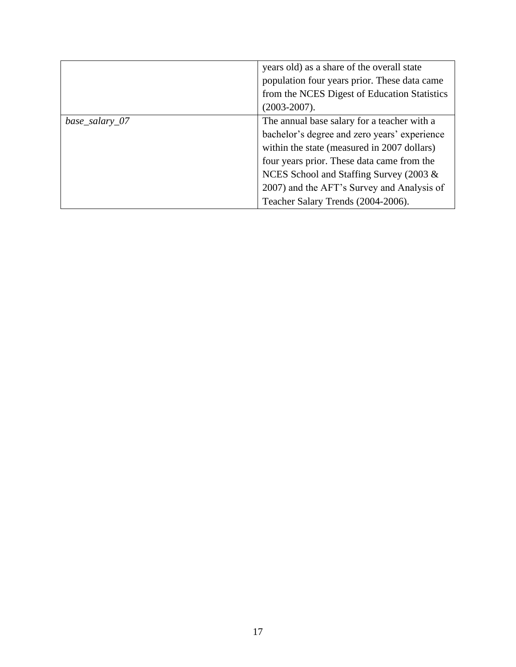|                | years old) as a share of the overall state<br>population four years prior. These data came<br>from the NCES Digest of Education Statistics<br>$(2003 - 2007)$ .                                                                                                                                                         |
|----------------|-------------------------------------------------------------------------------------------------------------------------------------------------------------------------------------------------------------------------------------------------------------------------------------------------------------------------|
| base_salary_07 | The annual base salary for a teacher with a<br>bachelor's degree and zero years' experience<br>within the state (measured in 2007 dollars)<br>four years prior. These data came from the<br>NCES School and Staffing Survey (2003 &<br>2007) and the AFT's Survey and Analysis of<br>Teacher Salary Trends (2004-2006). |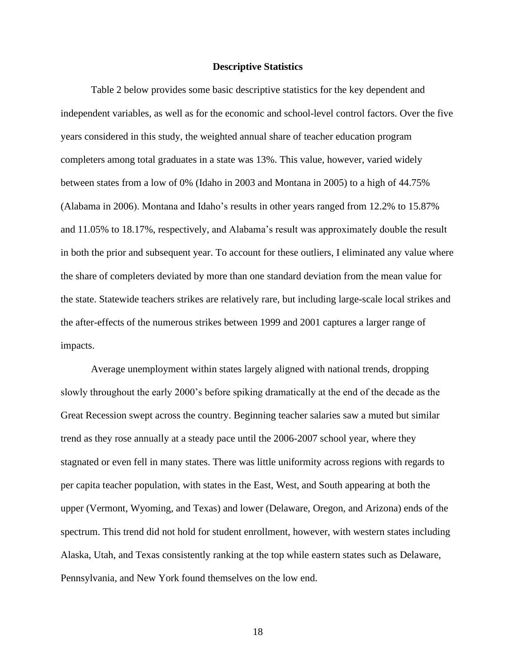#### **Descriptive Statistics**

<span id="page-20-0"></span>Table 2 below provides some basic descriptive statistics for the key dependent and independent variables, as well as for the economic and school-level control factors. Over the five years considered in this study, the weighted annual share of teacher education program completers among total graduates in a state was 13%. This value, however, varied widely between states from a low of 0% (Idaho in 2003 and Montana in 2005) to a high of 44.75% (Alabama in 2006). Montana and Idaho's results in other years ranged from 12.2% to 15.87% and 11.05% to 18.17%, respectively, and Alabama's result was approximately double the result in both the prior and subsequent year. To account for these outliers, I eliminated any value where the share of completers deviated by more than one standard deviation from the mean value for the state. Statewide teachers strikes are relatively rare, but including large-scale local strikes and the after-effects of the numerous strikes between 1999 and 2001 captures a larger range of impacts.

Average unemployment within states largely aligned with national trends, dropping slowly throughout the early 2000's before spiking dramatically at the end of the decade as the Great Recession swept across the country. Beginning teacher salaries saw a muted but similar trend as they rose annually at a steady pace until the 2006-2007 school year, where they stagnated or even fell in many states. There was little uniformity across regions with regards to per capita teacher population, with states in the East, West, and South appearing at both the upper (Vermont, Wyoming, and Texas) and lower (Delaware, Oregon, and Arizona) ends of the spectrum. This trend did not hold for student enrollment, however, with western states including Alaska, Utah, and Texas consistently ranking at the top while eastern states such as Delaware, Pennsylvania, and New York found themselves on the low end.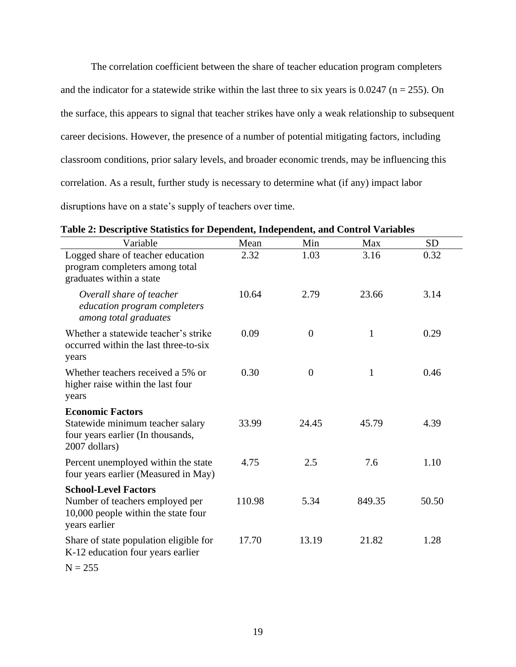The correlation coefficient between the share of teacher education program completers and the indicator for a statewide strike within the last three to six years is  $0.0247$  (n = 255). On the surface, this appears to signal that teacher strikes have only a weak relationship to subsequent career decisions. However, the presence of a number of potential mitigating factors, including classroom conditions, prior salary levels, and broader economic trends, may be influencing this correlation. As a result, further study is necessary to determine what (if any) impact labor disruptions have on a state's supply of teachers over time.

| Variable                                                                                                          | Mean   | Min      | Max          | <b>SD</b> |
|-------------------------------------------------------------------------------------------------------------------|--------|----------|--------------|-----------|
| Logged share of teacher education<br>program completers among total<br>graduates within a state                   | 2.32   | 1.03     | 3.16         | 0.32      |
| Overall share of teacher<br>education program completers<br>among total graduates                                 | 10.64  | 2.79     | 23.66        | 3.14      |
| Whether a statewide teacher's strike<br>occurred within the last three-to-six<br>years                            | 0.09   | $\theta$ | $\mathbf{1}$ | 0.29      |
| Whether teachers received a 5% or<br>higher raise within the last four<br>years                                   | 0.30   | $\theta$ | $\mathbf{1}$ | 0.46      |
| <b>Economic Factors</b><br>Statewide minimum teacher salary<br>four years earlier (In thousands,<br>2007 dollars) | 33.99  | 24.45    | 45.79        | 4.39      |
| Percent unemployed within the state<br>four years earlier (Measured in May)                                       | 4.75   | 2.5      | 7.6          | 1.10      |
| <b>School-Level Factors</b>                                                                                       |        |          |              |           |
| Number of teachers employed per<br>10,000 people within the state four<br>years earlier                           | 110.98 | 5.34     | 849.35       | 50.50     |
| Share of state population eligible for<br>K-12 education four years earlier                                       | 17.70  | 13.19    | 21.82        | 1.28      |

 $N = 255$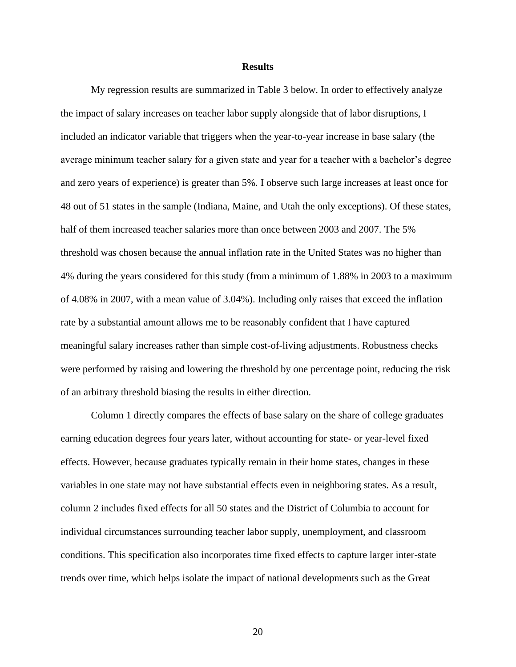#### **Results**

<span id="page-22-0"></span>My regression results are summarized in Table 3 below. In order to effectively analyze the impact of salary increases on teacher labor supply alongside that of labor disruptions, I included an indicator variable that triggers when the year-to-year increase in base salary (the average minimum teacher salary for a given state and year for a teacher with a bachelor's degree and zero years of experience) is greater than 5%. I observe such large increases at least once for 48 out of 51 states in the sample (Indiana, Maine, and Utah the only exceptions). Of these states, half of them increased teacher salaries more than once between 2003 and 2007. The 5% threshold was chosen because the annual inflation rate in the United States was no higher than 4% during the years considered for this study (from a minimum of 1.88% in 2003 to a maximum of 4.08% in 2007, with a mean value of 3.04%). Including only raises that exceed the inflation rate by a substantial amount allows me to be reasonably confident that I have captured meaningful salary increases rather than simple cost-of-living adjustments. Robustness checks were performed by raising and lowering the threshold by one percentage point, reducing the risk of an arbitrary threshold biasing the results in either direction.

Column 1 directly compares the effects of base salary on the share of college graduates earning education degrees four years later, without accounting for state- or year-level fixed effects. However, because graduates typically remain in their home states, changes in these variables in one state may not have substantial effects even in neighboring states. As a result, column 2 includes fixed effects for all 50 states and the District of Columbia to account for individual circumstances surrounding teacher labor supply, unemployment, and classroom conditions. This specification also incorporates time fixed effects to capture larger inter-state trends over time, which helps isolate the impact of national developments such as the Great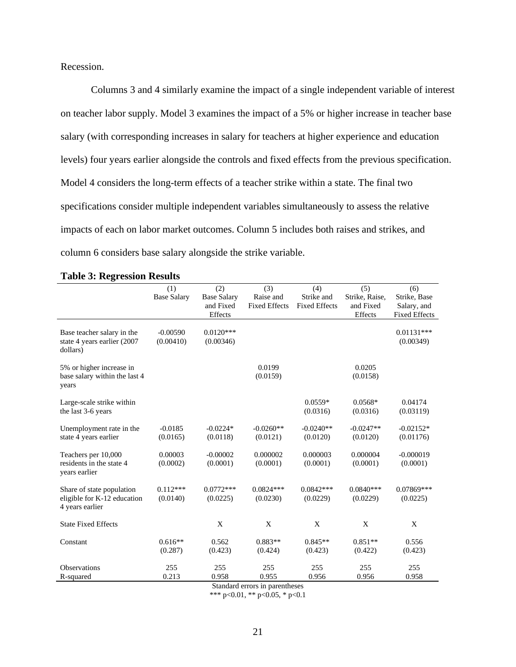Recession.

Columns 3 and 4 similarly examine the impact of a single independent variable of interest on teacher labor supply. Model 3 examines the impact of a 5% or higher increase in teacher base salary (with corresponding increases in salary for teachers at higher experience and education levels) four years earlier alongside the controls and fixed effects from the previous specification. Model 4 considers the long-term effects of a teacher strike within a state. The final two specifications consider multiple independent variables simultaneously to assess the relative impacts of each on labor market outcomes. Column 5 includes both raises and strikes, and column 6 considers base salary alongside the strike variable.

|                                                                             | (1)                     | (2)                      | (3)                     | (4)                     | (5)                     | (6)                       |
|-----------------------------------------------------------------------------|-------------------------|--------------------------|-------------------------|-------------------------|-------------------------|---------------------------|
|                                                                             | <b>Base Salary</b>      | <b>Base Salary</b>       | Raise and               | Strike and              | Strike, Raise,          | Strike, Base              |
|                                                                             |                         | and Fixed                | <b>Fixed Effects</b>    | <b>Fixed Effects</b>    | and Fixed               | Salary, and               |
|                                                                             |                         | Effects                  |                         |                         | Effects                 | <b>Fixed Effects</b>      |
| Base teacher salary in the<br>state 4 years earlier (2007<br>dollars)       | $-0.00590$<br>(0.00410) | $0.0120***$<br>(0.00346) |                         |                         |                         | $0.01131***$<br>(0.00349) |
| 5% or higher increase in<br>base salary within the last 4<br>years          |                         |                          | 0.0199<br>(0.0159)      |                         | 0.0205<br>(0.0158)      |                           |
| Large-scale strike within<br>the last 3-6 years                             |                         |                          |                         | $0.0559*$<br>(0.0316)   | $0.0568*$<br>(0.0316)   | 0.04174<br>(0.03119)      |
| Unemployment rate in the<br>state 4 years earlier                           | $-0.0185$<br>(0.0165)   | $-0.0224*$<br>(0.0118)   | $-0.0260**$<br>(0.0121) | $-0.0240**$<br>(0.0120) | $-0.0247**$<br>(0.0120) | $-0.02152*$<br>(0.01176)  |
| Teachers per 10,000<br>residents in the state 4<br>years earlier            | 0.00003<br>(0.0002)     | $-0.00002$<br>(0.0001)   | 0.000002<br>(0.0001)    | 0.000003<br>(0.0001)    | 0.000004<br>(0.0001)    | $-0.000019$<br>(0.0001)   |
| Share of state population<br>eligible for K-12 education<br>4 years earlier | $0.112***$<br>(0.0140)  | $0.0772***$<br>(0.0225)  | $0.0824***$<br>(0.0230) | $0.0842***$<br>(0.0229) | $0.0840***$<br>(0.0229) | $0.07869***$<br>(0.0225)  |
| <b>State Fixed Effects</b>                                                  |                         | X                        | X                       | X                       | X                       | X                         |
| Constant                                                                    | $0.616**$<br>(0.287)    | 0.562<br>(0.423)         | $0.883**$<br>(0.424)    | $0.845**$<br>(0.423)    | $0.851**$<br>(0.422)    | 0.556<br>(0.423)          |
| <b>Observations</b>                                                         | 255                     | 255                      | 255                     | 255                     | 255                     | 255                       |
| R-squared                                                                   | 0.213                   | 0.958                    | 0.955                   | 0.956                   | 0.956                   | 0.958                     |

### **Table 3: Regression Results**

Standard errors in parentheses \*\*\* p<0.01, \*\* p<0.05, \* p<0.1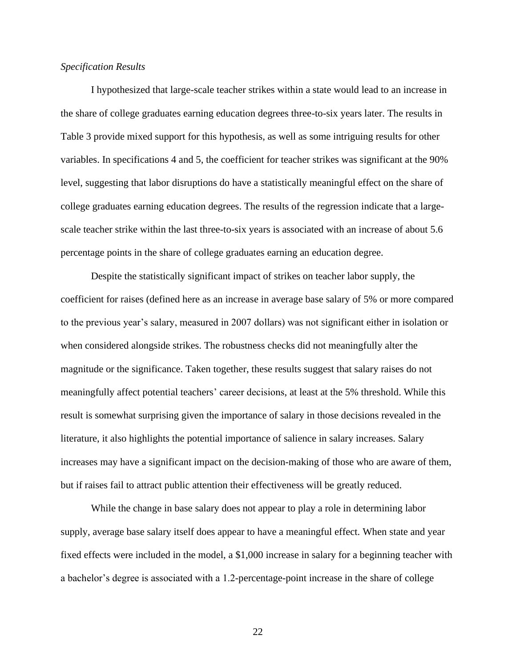# *Specification Results*

I hypothesized that large-scale teacher strikes within a state would lead to an increase in the share of college graduates earning education degrees three-to-six years later. The results in Table 3 provide mixed support for this hypothesis, as well as some intriguing results for other variables. In specifications 4 and 5, the coefficient for teacher strikes was significant at the 90% level, suggesting that labor disruptions do have a statistically meaningful effect on the share of college graduates earning education degrees. The results of the regression indicate that a largescale teacher strike within the last three-to-six years is associated with an increase of about 5.6 percentage points in the share of college graduates earning an education degree.

Despite the statistically significant impact of strikes on teacher labor supply, the coefficient for raises (defined here as an increase in average base salary of 5% or more compared to the previous year's salary, measured in 2007 dollars) was not significant either in isolation or when considered alongside strikes. The robustness checks did not meaningfully alter the magnitude or the significance. Taken together, these results suggest that salary raises do not meaningfully affect potential teachers' career decisions, at least at the 5% threshold. While this result is somewhat surprising given the importance of salary in those decisions revealed in the literature, it also highlights the potential importance of salience in salary increases. Salary increases may have a significant impact on the decision-making of those who are aware of them, but if raises fail to attract public attention their effectiveness will be greatly reduced.

While the change in base salary does not appear to play a role in determining labor supply, average base salary itself does appear to have a meaningful effect. When state and year fixed effects were included in the model, a \$1,000 increase in salary for a beginning teacher with a bachelor's degree is associated with a 1.2-percentage-point increase in the share of college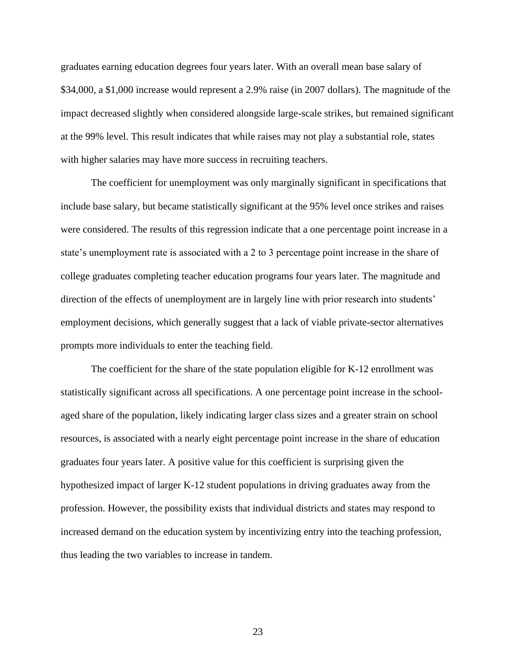graduates earning education degrees four years later. With an overall mean base salary of \$34,000, a \$1,000 increase would represent a 2.9% raise (in 2007 dollars). The magnitude of the impact decreased slightly when considered alongside large-scale strikes, but remained significant at the 99% level. This result indicates that while raises may not play a substantial role, states with higher salaries may have more success in recruiting teachers.

The coefficient for unemployment was only marginally significant in specifications that include base salary, but became statistically significant at the 95% level once strikes and raises were considered. The results of this regression indicate that a one percentage point increase in a state's unemployment rate is associated with a 2 to 3 percentage point increase in the share of college graduates completing teacher education programs four years later. The magnitude and direction of the effects of unemployment are in largely line with prior research into students' employment decisions, which generally suggest that a lack of viable private-sector alternatives prompts more individuals to enter the teaching field.

The coefficient for the share of the state population eligible for K-12 enrollment was statistically significant across all specifications. A one percentage point increase in the schoolaged share of the population, likely indicating larger class sizes and a greater strain on school resources, is associated with a nearly eight percentage point increase in the share of education graduates four years later. A positive value for this coefficient is surprising given the hypothesized impact of larger K-12 student populations in driving graduates away from the profession. However, the possibility exists that individual districts and states may respond to increased demand on the education system by incentivizing entry into the teaching profession, thus leading the two variables to increase in tandem.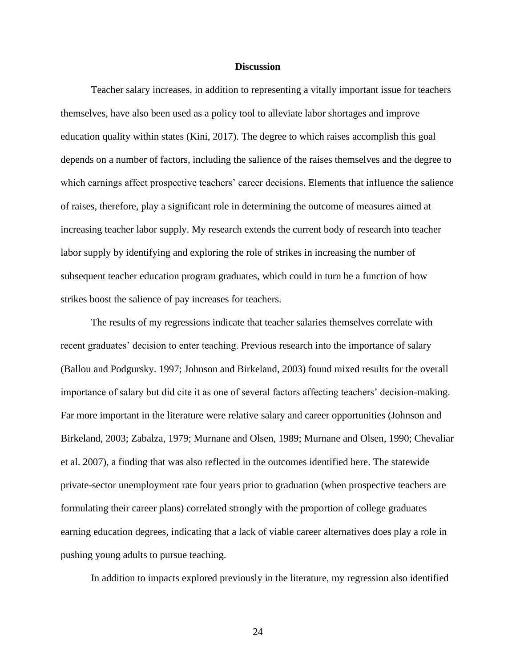## **Discussion**

<span id="page-26-0"></span>Teacher salary increases, in addition to representing a vitally important issue for teachers themselves, have also been used as a policy tool to alleviate labor shortages and improve education quality within states (Kini, 2017). The degree to which raises accomplish this goal depends on a number of factors, including the salience of the raises themselves and the degree to which earnings affect prospective teachers' career decisions. Elements that influence the salience of raises, therefore, play a significant role in determining the outcome of measures aimed at increasing teacher labor supply. My research extends the current body of research into teacher labor supply by identifying and exploring the role of strikes in increasing the number of subsequent teacher education program graduates, which could in turn be a function of how strikes boost the salience of pay increases for teachers.

The results of my regressions indicate that teacher salaries themselves correlate with recent graduates' decision to enter teaching. Previous research into the importance of salary (Ballou and Podgursky. 1997; Johnson and Birkeland, 2003) found mixed results for the overall importance of salary but did cite it as one of several factors affecting teachers' decision-making. Far more important in the literature were relative salary and career opportunities (Johnson and Birkeland, 2003; Zabalza, 1979; Murnane and Olsen, 1989; Murnane and Olsen, 1990; Chevaliar et al. 2007), a finding that was also reflected in the outcomes identified here. The statewide private-sector unemployment rate four years prior to graduation (when prospective teachers are formulating their career plans) correlated strongly with the proportion of college graduates earning education degrees, indicating that a lack of viable career alternatives does play a role in pushing young adults to pursue teaching.

In addition to impacts explored previously in the literature, my regression also identified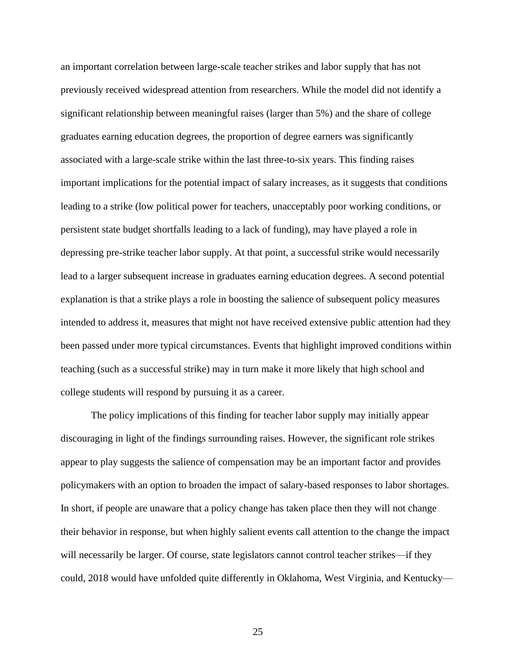an important correlation between large-scale teacher strikes and labor supply that has not previously received widespread attention from researchers. While the model did not identify a significant relationship between meaningful raises (larger than 5%) and the share of college graduates earning education degrees, the proportion of degree earners was significantly associated with a large-scale strike within the last three-to-six years. This finding raises important implications for the potential impact of salary increases, as it suggests that conditions leading to a strike (low political power for teachers, unacceptably poor working conditions, or persistent state budget shortfalls leading to a lack of funding), may have played a role in depressing pre-strike teacher labor supply. At that point, a successful strike would necessarily lead to a larger subsequent increase in graduates earning education degrees. A second potential explanation is that a strike plays a role in boosting the salience of subsequent policy measures intended to address it, measures that might not have received extensive public attention had they been passed under more typical circumstances. Events that highlight improved conditions within teaching (such as a successful strike) may in turn make it more likely that high school and college students will respond by pursuing it as a career.

The policy implications of this finding for teacher labor supply may initially appear discouraging in light of the findings surrounding raises. However, the significant role strikes appear to play suggests the salience of compensation may be an important factor and provides policymakers with an option to broaden the impact of salary-based responses to labor shortages. In short, if people are unaware that a policy change has taken place then they will not change their behavior in response, but when highly salient events call attention to the change the impact will necessarily be larger. Of course, state legislators cannot control teacher strikes—if they could, 2018 would have unfolded quite differently in Oklahoma, West Virginia, and Kentucky—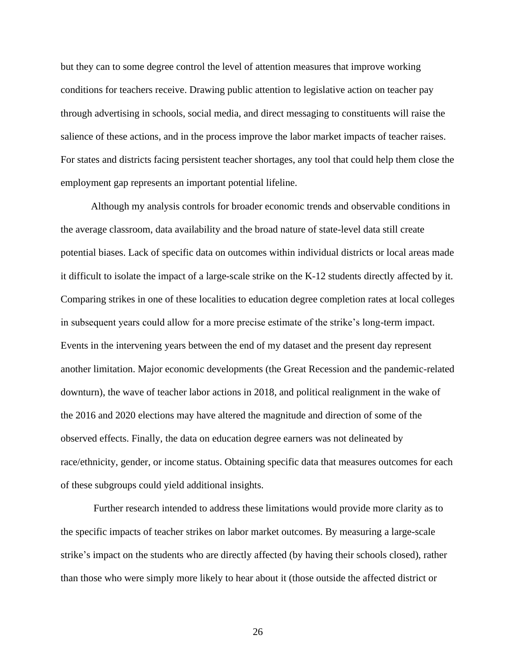but they can to some degree control the level of attention measures that improve working conditions for teachers receive. Drawing public attention to legislative action on teacher pay through advertising in schools, social media, and direct messaging to constituents will raise the salience of these actions, and in the process improve the labor market impacts of teacher raises. For states and districts facing persistent teacher shortages, any tool that could help them close the employment gap represents an important potential lifeline.

Although my analysis controls for broader economic trends and observable conditions in the average classroom, data availability and the broad nature of state-level data still create potential biases. Lack of specific data on outcomes within individual districts or local areas made it difficult to isolate the impact of a large-scale strike on the K-12 students directly affected by it. Comparing strikes in one of these localities to education degree completion rates at local colleges in subsequent years could allow for a more precise estimate of the strike's long-term impact. Events in the intervening years between the end of my dataset and the present day represent another limitation. Major economic developments (the Great Recession and the pandemic-related downturn), the wave of teacher labor actions in 2018, and political realignment in the wake of the 2016 and 2020 elections may have altered the magnitude and direction of some of the observed effects. Finally, the data on education degree earners was not delineated by race/ethnicity, gender, or income status. Obtaining specific data that measures outcomes for each of these subgroups could yield additional insights.

Further research intended to address these limitations would provide more clarity as to the specific impacts of teacher strikes on labor market outcomes. By measuring a large-scale strike's impact on the students who are directly affected (by having their schools closed), rather than those who were simply more likely to hear about it (those outside the affected district or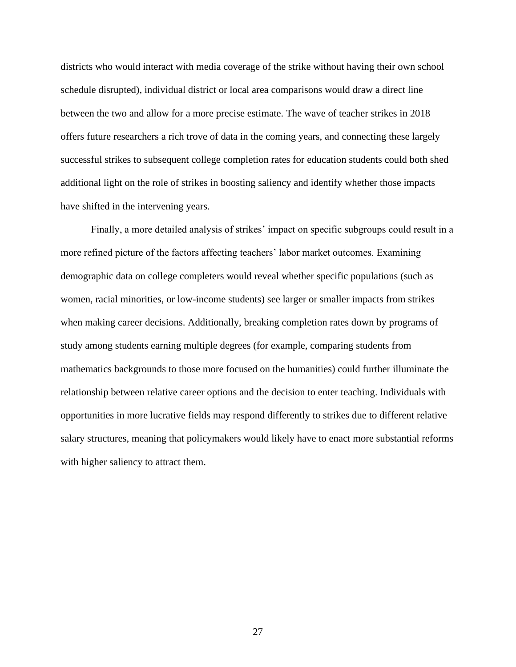districts who would interact with media coverage of the strike without having their own school schedule disrupted), individual district or local area comparisons would draw a direct line between the two and allow for a more precise estimate. The wave of teacher strikes in 2018 offers future researchers a rich trove of data in the coming years, and connecting these largely successful strikes to subsequent college completion rates for education students could both shed additional light on the role of strikes in boosting saliency and identify whether those impacts have shifted in the intervening years.

Finally, a more detailed analysis of strikes' impact on specific subgroups could result in a more refined picture of the factors affecting teachers' labor market outcomes. Examining demographic data on college completers would reveal whether specific populations (such as women, racial minorities, or low-income students) see larger or smaller impacts from strikes when making career decisions. Additionally, breaking completion rates down by programs of study among students earning multiple degrees (for example, comparing students from mathematics backgrounds to those more focused on the humanities) could further illuminate the relationship between relative career options and the decision to enter teaching. Individuals with opportunities in more lucrative fields may respond differently to strikes due to different relative salary structures, meaning that policymakers would likely have to enact more substantial reforms with higher saliency to attract them.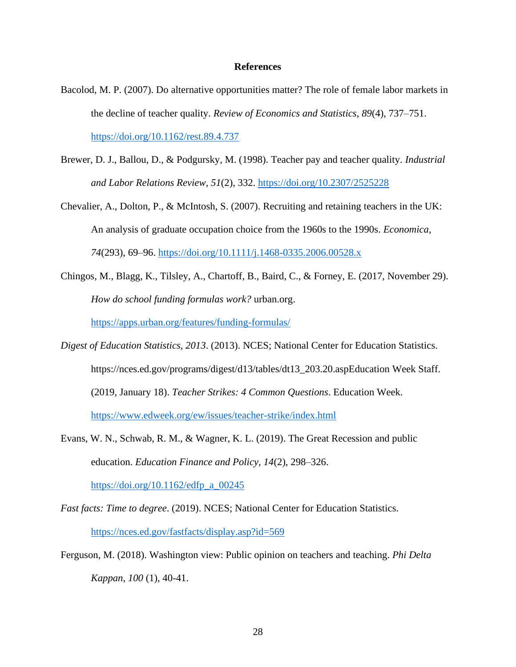### **References**

- <span id="page-30-0"></span>Bacolod, M. P. (2007). Do alternative opportunities matter? The role of female labor markets in the decline of teacher quality. *Review of Economics and Statistics*, *89*(4), 737–751. <https://doi.org/10.1162/rest.89.4.737>
- Brewer, D. J., Ballou, D., & Podgursky, M. (1998). Teacher pay and teacher quality. *Industrial and Labor Relations Review*, *51*(2), 332.<https://doi.org/10.2307/2525228>
- Chevalier, A., Dolton, P., & McIntosh, S. (2007). Recruiting and retaining teachers in the UK: An analysis of graduate occupation choice from the 1960s to the 1990s. *Economica*, *74*(293), 69–96.<https://doi.org/10.1111/j.1468-0335.2006.00528.x>
- Chingos, M., Blagg, K., Tilsley, A., Chartoff, B., Baird, C., & Forney, E. (2017, November 29). *How do school funding formulas work?* urban.org.

<https://apps.urban.org/features/funding-formulas/>

- *Digest of Education Statistics, 2013*. (2013). NCES; National Center for Education Statistics. https://nces.ed.gov/programs/digest/d13/tables/dt13\_203.20.aspEducation Week Staff. (2019, January 18). *Teacher Strikes: 4 Common Questions*. Education Week. <https://www.edweek.org/ew/issues/teacher-strike/index.html>
- Evans, W. N., Schwab, R. M., & Wagner, K. L. (2019). The Great Recession and public education. *Education Finance and Policy*, *14*(2), 298–326.

[https://doi.org/10.1162/edfp\\_a\\_00245](https://doi.org/10.1162/edfp_a_00245)

*Fast facts: Time to degree*. (2019). NCES; National Center for Education Statistics.

<https://nces.ed.gov/fastfacts/display.asp?id=569>

Ferguson, M. (2018). Washington view: Public opinion on teachers and teaching. *Phi Delta Kappan, 100* (1), 40-41.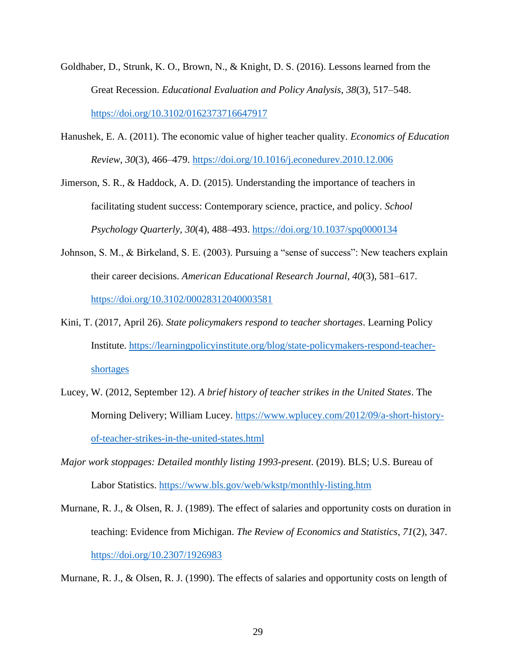- Goldhaber, D., Strunk, K. O., Brown, N., & Knight, D. S. (2016). Lessons learned from the Great Recession. *Educational Evaluation and Policy Analysis*, *38*(3), 517–548. <https://doi.org/10.3102/0162373716647917>
- Hanushek, E. A. (2011). The economic value of higher teacher quality. *Economics of Education Review*, *30*(3), 466–479.<https://doi.org/10.1016/j.econedurev.2010.12.006>

Jimerson, S. R., & Haddock, A. D. (2015). Understanding the importance of teachers in facilitating student success: Contemporary science, practice, and policy. *School Psychology Quarterly*, *30*(4), 488–493.<https://doi.org/10.1037/spq0000134>

- Johnson, S. M., & Birkeland, S. E. (2003). Pursuing a "sense of success": New teachers explain their career decisions. *American Educational Research Journal*, *40*(3), 581–617. <https://doi.org/10.3102/00028312040003581>
- Kini, T. (2017, April 26). *State policymakers respond to teacher shortages*. Learning Policy Institute. [https://learningpolicyinstitute.org/blog/state-policymakers-respond-teacher](https://learningpolicyinstitute.org/blog/state-policymakers-respond-teacher-shortages)[shortages](https://learningpolicyinstitute.org/blog/state-policymakers-respond-teacher-shortages)
- Lucey, W. (2012, September 12). *A brief history of teacher strikes in the United States*. The Morning Delivery; William Lucey. [https://www.wplucey.com/2012/09/a-short-history](https://www.wplucey.com/2012/09/a-short-history-of-teacher-strikes-in-the-united-states.html)[of-teacher-strikes-in-the-united-states.html](https://www.wplucey.com/2012/09/a-short-history-of-teacher-strikes-in-the-united-states.html)
- *Major work stoppages: Detailed monthly listing 1993-present*. (2019). BLS; U.S. Bureau of Labor Statistics.<https://www.bls.gov/web/wkstp/monthly-listing.htm>
- Murnane, R. J., & Olsen, R. J. (1989). The effect of salaries and opportunity costs on duration in teaching: Evidence from Michigan. *The Review of Economics and Statistics*, *71*(2), 347. <https://doi.org/10.2307/1926983>

Murnane, R. J., & Olsen, R. J. (1990). The effects of salaries and opportunity costs on length of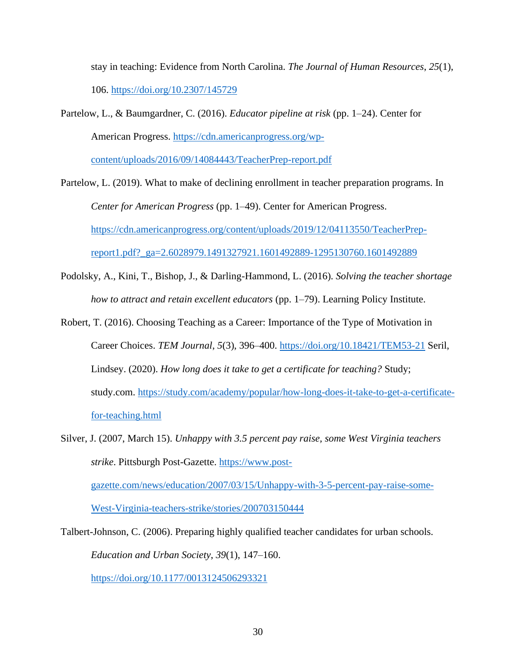stay in teaching: Evidence from North Carolina. *The Journal of Human Resources*, *25*(1), 106.<https://doi.org/10.2307/145729>

Partelow, L., & Baumgardner, C. (2016). *Educator pipeline at risk* (pp. 1–24). Center for American Progress. [https://cdn.americanprogress.org/wp-](https://cdn.americanprogress.org/wp-content/uploads/2016/09/14084443/TeacherPrep-report.pdf)

[content/uploads/2016/09/14084443/TeacherPrep-report.pdf](https://cdn.americanprogress.org/wp-content/uploads/2016/09/14084443/TeacherPrep-report.pdf)

- Partelow, L. (2019). What to make of declining enrollment in teacher preparation programs. In *Center for American Progress* (pp. 1–49). Center for American Progress. [https://cdn.americanprogress.org/content/uploads/2019/12/04113550/TeacherPrep](https://cdn.americanprogress.org/content/uploads/2019/12/04113550/TeacherPrep-report1.pdf?_ga=2.6028979.1491327921.1601492889-1295130760.1601492889)[report1.pdf?\\_ga=2.6028979.1491327921.1601492889-1295130760.1601492889](https://cdn.americanprogress.org/content/uploads/2019/12/04113550/TeacherPrep-report1.pdf?_ga=2.6028979.1491327921.1601492889-1295130760.1601492889)
- Podolsky, A., Kini, T., Bishop, J., & Darling-Hammond, L. (2016). *Solving the teacher shortage how to attract and retain excellent educators* (pp. 1–79). Learning Policy Institute.
- Robert, T. (2016). Choosing Teaching as a Career: Importance of the Type of Motivation in Career Choices. *TEM Journal*, *5*(3), 396–400.<https://doi.org/10.18421/TEM53-21> Seril, Lindsey. (2020). *How long does it take to get a certificate for teaching?* Study; study.com. [https://study.com/academy/popular/how-long-does-it-take-to-get-a-certificate](https://study.com/academy/popular/how-long-does-it-take-to-get-a-certificate-for-teaching.html)[for-teaching.html](https://study.com/academy/popular/how-long-does-it-take-to-get-a-certificate-for-teaching.html)
- Silver, J. (2007, March 15). *Unhappy with 3.5 percent pay raise, some West Virginia teachers strike*. Pittsburgh Post-Gazette. [https://www.post](https://www.post-gazette.com/news/education/2007/03/15/Unhappy-with-3-5-percent-pay-raise-some-West-Virginia-teachers-strike/stories/200703150444)[gazette.com/news/education/2007/03/15/Unhappy-with-3-5-percent-pay-raise-some-](https://www.post-gazette.com/news/education/2007/03/15/Unhappy-with-3-5-percent-pay-raise-some-West-Virginia-teachers-strike/stories/200703150444)[West-Virginia-teachers-strike/stories/200703150444](https://www.post-gazette.com/news/education/2007/03/15/Unhappy-with-3-5-percent-pay-raise-some-West-Virginia-teachers-strike/stories/200703150444)

Talbert-Johnson, C. (2006). Preparing highly qualified teacher candidates for urban schools. *Education and Urban Society*, *39*(1), 147–160. <https://doi.org/10.1177/0013124506293321>